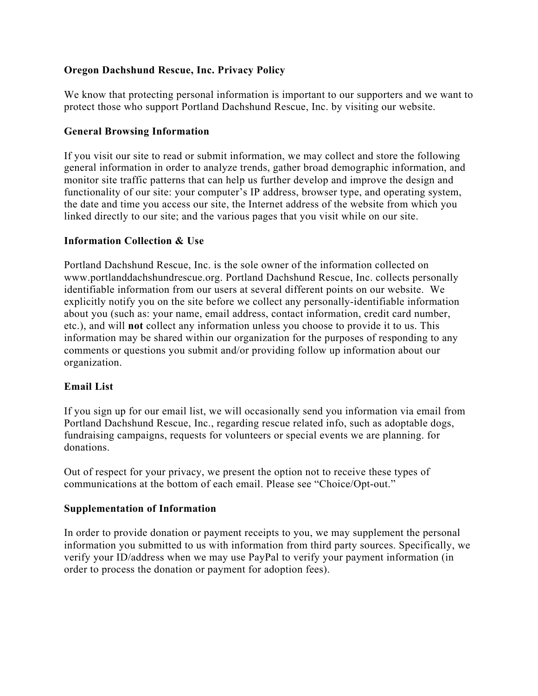# **Oregon Dachshund Rescue, Inc. Privacy Policy**

We know that protecting personal information is important to our supporters and we want to protect those who support Portland Dachshund Rescue, Inc. by visiting our website.

### **General Browsing Information**

If you visit our site to read or submit information, we may collect and store the following general information in order to analyze trends, gather broad demographic information, and monitor site traffic patterns that can help us further develop and improve the design and functionality of our site: your computer's IP address, browser type, and operating system, the date and time you access our site, the Internet address of the website from which you linked directly to our site; and the various pages that you visit while on our site.

### **Information Collection & Use**

Portland Dachshund Rescue, Inc. is the sole owner of the information collected on www.portlanddachshundrescue.org. Portland Dachshund Rescue, Inc. collects personally identifiable information from our users at several different points on our website. We explicitly notify you on the site before we collect any personally-identifiable information about you (such as: your name, email address, contact information, credit card number, etc.), and will **not** collect any information unless you choose to provide it to us. This information may be shared within our organization for the purposes of responding to any comments or questions you submit and/or providing follow up information about our organization.

## **Email List**

If you sign up for our email list, we will occasionally send you information via email from Portland Dachshund Rescue, Inc., regarding rescue related info, such as adoptable dogs, fundraising campaigns, requests for volunteers or special events we are planning. for donations.

Out of respect for your privacy, we present the option not to receive these types of communications at the bottom of each email. Please see "Choice/Opt-out."

#### **Supplementation of Information**

In order to provide donation or payment receipts to you, we may supplement the personal information you submitted to us with information from third party sources. Specifically, we verify your ID/address when we may use PayPal to verify your payment information (in order to process the donation or payment for adoption fees).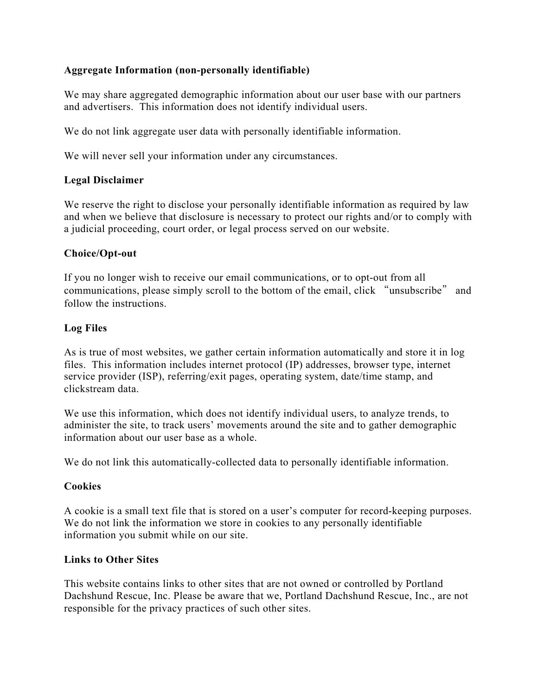# **Aggregate Information (non-personally identifiable)**

We may share aggregated demographic information about our user base with our partners and advertisers. This information does not identify individual users.

We do not link aggregate user data with personally identifiable information.

We will never sell your information under any circumstances.

### **Legal Disclaimer**

We reserve the right to disclose your personally identifiable information as required by law and when we believe that disclosure is necessary to protect our rights and/or to comply with a judicial proceeding, court order, or legal process served on our website.

### **Choice/Opt-out**

If you no longer wish to receive our email communications, or to opt-out from all communications, please simply scroll to the bottom of the email, click "unsubscribe" and follow the instructions.

## **Log Files**

As is true of most websites, we gather certain information automatically and store it in log files. This information includes internet protocol (IP) addresses, browser type, internet service provider (ISP), referring/exit pages, operating system, date/time stamp, and clickstream data.

We use this information, which does not identify individual users, to analyze trends, to administer the site, to track users' movements around the site and to gather demographic information about our user base as a whole.

We do not link this automatically-collected data to personally identifiable information.

## **Cookies**

A cookie is a small text file that is stored on a user's computer for record-keeping purposes. We do not link the information we store in cookies to any personally identifiable information you submit while on our site.

#### **Links to Other Sites**

This website contains links to other sites that are not owned or controlled by Portland Dachshund Rescue, Inc. Please be aware that we, Portland Dachshund Rescue, Inc., are not responsible for the privacy practices of such other sites.